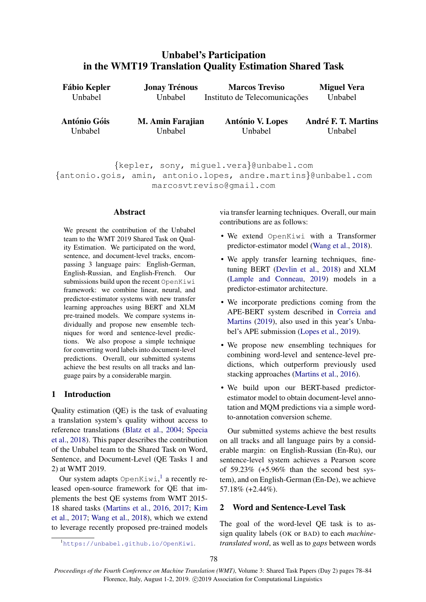# <span id="page-0-1"></span>Unbabel's Participation in the WMT19 Translation Quality Estimation Shared Task

| <b>Miguel Vera</b>                    | <b>Marcos Treviso</b>              | <b>Fábio Kepler</b><br><b>Jonay Trénous</b> |                                |
|---------------------------------------|------------------------------------|---------------------------------------------|--------------------------------|
| Unbabel                               | Instituto de Telecomunicações      | Unbabel                                     | Unbabel                        |
| <b>André F. T. Martins</b><br>Unbabel | <b>António V. Lopes</b><br>Unbabel | M. Amin Farajian<br>Unbabel                 | <b>António Góis</b><br>Unbabel |
|                                       |                                    |                                             |                                |

{kepler, sony, miguel.vera}@unbabel.com {antonio.gois, amin, antonio.lopes, andre.martins}@unbabel.com marcosvtreviso@gmail.com

### Abstract

We present the contribution of the Unbabel team to the WMT 2019 Shared Task on Quality Estimation. We participated on the word, sentence, and document-level tracks, encompassing 3 language pairs: English-German, English-Russian, and English-French. Our submissions build upon the recent OpenKiwi framework: we combine linear, neural, and predictor-estimator systems with new transfer learning approaches using BERT and XLM pre-trained models. We compare systems individually and propose new ensemble techniques for word and sentence-level predictions. We also propose a simple technique for converting word labels into document-level predictions. Overall, our submitted systems achieve the best results on all tracks and language pairs by a considerable margin.

## 1 Introduction

Quality estimation (QE) is the task of evaluating a translation system's quality without access to reference translations [\(Blatz et al.,](#page-6-0) [2004;](#page-6-0) [Specia](#page-6-1) [et al.,](#page-6-1) [2018\)](#page-6-1). This paper describes the contribution of the Unbabel team to the Shared Task on Word, Sentence, and Document-Level (QE Tasks 1 and 2) at WMT 2019.

Our system adapts OpenKiwi,<sup>[1](#page-0-0)</sup> a recently released open-source framework for QE that implements the best QE systems from WMT 2015- 18 shared tasks [\(Martins et al.,](#page-6-2) [2016,](#page-6-2) [2017;](#page-6-3) [Kim](#page-6-4) [et al.,](#page-6-4) [2017;](#page-6-4) [Wang et al.,](#page-6-5) [2018\)](#page-6-5), which we extend to leverage recently proposed pre-trained models via transfer learning techniques. Overall, our main contributions are as follows:

- We extend OpenKiwi with a Transformer predictor-estimator model [\(Wang et al.,](#page-6-5) [2018\)](#page-6-5).
- We apply transfer learning techniques, finetuning BERT [\(Devlin et al.,](#page-6-6) [2018\)](#page-6-6) and XLM [\(Lample and Conneau,](#page-6-7) [2019\)](#page-6-7) models in a predictor-estimator architecture.
- We incorporate predictions coming from the APE-BERT system described in [Correia and](#page-6-8) [Martins](#page-6-8) [\(2019\)](#page-6-8), also used in this year's Unbabel's APE submission [\(Lopes et al.,](#page-6-9) [2019\)](#page-6-9).
- We propose new ensembling techniques for combining word-level and sentence-level predictions, which outperform previously used stacking approaches [\(Martins et al.,](#page-6-2) [2016\)](#page-6-2).
- We build upon our BERT-based predictorestimator model to obtain document-level annotation and MQM predictions via a simple wordto-annotation conversion scheme.

Our submitted systems achieve the best results on all tracks and all language pairs by a considerable margin: on English-Russian (En-Ru), our sentence-level system achieves a Pearson score of  $59.23\%$  (+5.96% than the second best system), and on English-German (En-De), we achieve 57.18% (+2.44%).

## <span id="page-0-2"></span>2 Word and Sentence-Level Task

The goal of the word-level QE task is to assign quality labels (OK or BAD) to each *machinetranslated word*, as well as to *gaps* between words

<span id="page-0-0"></span><sup>1</sup><https://unbabel.github.io/OpenKiwi>.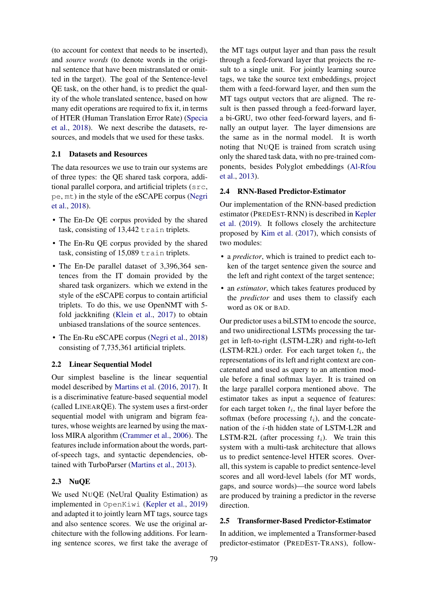(to account for context that needs to be inserted), and *source words* (to denote words in the original sentence that have been mistranslated or omitted in the target). The goal of the Sentence-level QE task, on the other hand, is to predict the quality of the whole translated sentence, based on how many edit operations are required to fix it, in terms of HTER (Human Translation Error Rate) [\(Specia](#page-6-1) [et al.,](#page-6-1) [2018\)](#page-6-1). We next describe the datasets, resources, and models that we used for these tasks.

### 2.1 Datasets and Resources

The data resources we use to train our systems are of three types: the QE shared task corpora, additional parallel corpora, and artificial triplets (src, pe, mt) in the style of the eSCAPE corpus [\(Negri](#page-6-10) [et al.,](#page-6-10) [2018\)](#page-6-10).

- The En-De QE corpus provided by the shared task, consisting of 13,442 train triplets.
- The En-Ru QE corpus provided by the shared task, consisting of 15,089 train triplets.
- The En-De parallel dataset of 3,396,364 sentences from the IT domain provided by the shared task organizers. which we extend in the style of the eSCAPE corpus to contain artificial triplets. To do this, we use OpenNMT with 5 fold jackknifing [\(Klein et al.,](#page-6-11) [2017\)](#page-6-11) to obtain unbiased translations of the source sentences.
- The En-Ru eSCAPE corpus [\(Negri et al.,](#page-6-10) [2018\)](#page-6-10) consisting of 7,735,361 artificial triplets.

### <span id="page-1-0"></span>2.2 Linear Sequential Model

Our simplest baseline is the linear sequential model described by [Martins et al.](#page-6-2) [\(2016,](#page-6-2) [2017\)](#page-6-3). It is a discriminative feature-based sequential model (called LINEARQE). The system uses a first-order sequential model with unigram and bigram features, whose weights are learned by using the maxloss MIRA algorithm [\(Crammer et al.,](#page-6-12) [2006\)](#page-6-12). The features include information about the words, partof-speech tags, and syntactic dependencies, obtained with TurboParser [\(Martins et al.,](#page-6-13) [2013\)](#page-6-13).

### 2.3 NuQE

We used NUQE (NeUral Quality Estimation) as implemented in OpenKiwi [\(Kepler et al.,](#page-6-14) [2019\)](#page-6-14) and adapted it to jointly learn MT tags, source tags and also sentence scores. We use the original architecture with the following additions. For learning sentence scores, we first take the average of the MT tags output layer and than pass the result through a feed-forward layer that projects the result to a single unit. For jointly learning source tags, we take the source text embeddings, project them with a feed-forward layer, and then sum the MT tags output vectors that are aligned. The result is then passed through a feed-forward layer, a bi-GRU, two other feed-forward layers, and finally an output layer. The layer dimensions are the same as in the normal model. It is worth noting that NUQE is trained from scratch using only the shared task data, with no pre-trained components, besides Polyglot embeddings [\(Al-Rfou](#page-6-15) [et al.,](#page-6-15) [2013\)](#page-6-15).

### 2.4 RNN-Based Predictor-Estimator

Our implementation of the RNN-based prediction estimator (PREDEST-RNN) is described in [Kepler](#page-6-14) [et al.](#page-6-14) [\(2019\)](#page-6-14). It follows closely the architecture proposed by [Kim et al.](#page-6-4) [\(2017\)](#page-6-4), which consists of two modules:

- a *predictor*, which is trained to predict each token of the target sentence given the source and the left and right context of the target sentence;
- an *estimator*, which takes features produced by the *predictor* and uses them to classify each word as OK or BAD.

Our predictor uses a biLSTM to encode the source, and two unidirectional LSTMs processing the target in left-to-right (LSTM-L2R) and right-to-left (LSTM-R2L) order. For each target token  $t_i$ , the representations of its left and right context are concatenated and used as query to an attention module before a final softmax layer. It is trained on the large parallel corpora mentioned above. The estimator takes as input a sequence of features: for each target token  $t_i$ , the final layer before the softmax (before processing  $t_i$ ), and the concatenation of the i-th hidden state of LSTM-L2R and LSTM-R2L (after processing  $t_i$ ). We train this system with a multi-task architecture that allows us to predict sentence-level HTER scores. Overall, this system is capable to predict sentence-level scores and all word-level labels (for MT words, gaps, and source words)—the source word labels are produced by training a predictor in the reverse direction.

### 2.5 Transformer-Based Predictor-Estimator

In addition, we implemented a Transformer-based predictor-estimator (PREDEST-TRANS), follow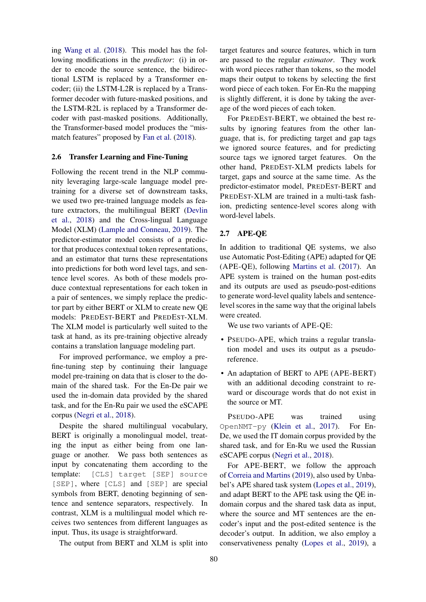ing [Wang et al.](#page-6-5) [\(2018\)](#page-6-5). This model has the following modifications in the *predictor*: (i) in order to encode the source sentence, the bidirectional LSTM is replaced by a Transformer encoder; (ii) the LSTM-L2R is replaced by a Transformer decoder with future-masked positions, and the LSTM-R2L is replaced by a Transformer decoder with past-masked positions. Additionally, the Transformer-based model produces the "mismatch features" proposed by [Fan et al.](#page-6-16) [\(2018\)](#page-6-16).

### <span id="page-2-0"></span>2.6 Transfer Learning and Fine-Tuning

Following the recent trend in the NLP community leveraging large-scale language model pretraining for a diverse set of downstream tasks, we used two pre-trained language models as feature extractors, the multilingual BERT [\(Devlin](#page-6-6) [et al.,](#page-6-6) [2018\)](#page-6-6) and the Cross-lingual Language Model (XLM) [\(Lample and Conneau,](#page-6-7) [2019\)](#page-6-7). The predictor-estimator model consists of a predictor that produces contextual token representations, and an estimator that turns these representations into predictions for both word level tags, and sentence level scores. As both of these models produce contextual representations for each token in a pair of sentences, we simply replace the predictor part by either BERT or XLM to create new QE models: PREDEST-BERT and PREDEST-XLM. The XLM model is particularly well suited to the task at hand, as its pre-training objective already contains a translation language modeling part.

For improved performance, we employ a prefine-tuning step by continuing their language model pre-training on data that is closer to the domain of the shared task. For the En-De pair we used the in-domain data provided by the shared task, and for the En-Ru pair we used the eSCAPE corpus [\(Negri et al.,](#page-6-10) [2018\)](#page-6-10).

Despite the shared multilingual vocabulary, BERT is originally a monolingual model, treating the input as either being from one language or another. We pass both sentences as input by concatenating them according to the template: [CLS] target [SEP] source [SEP], where [CLS] and [SEP] are special symbols from BERT, denoting beginning of sentence and sentence separators, respectively. In contrast, XLM is a multilingual model which receives two sentences from different languages as input. Thus, its usage is straightforward.

The output from BERT and XLM is split into

target features and source features, which in turn are passed to the regular *estimator*. They work with word pieces rather than tokens, so the model maps their output to tokens by selecting the first word piece of each token. For En-Ru the mapping is slightly different, it is done by taking the average of the word pieces of each token.

For PREDEST-BERT, we obtained the best results by ignoring features from the other language, that is, for predicting target and gap tags we ignored source features, and for predicting source tags we ignored target features. On the other hand, PREDEST-XLM predicts labels for target, gaps and source at the same time. As the predictor-estimator model, PREDEST-BERT and PREDEST-XLM are trained in a multi-task fashion, predicting sentence-level scores along with word-level labels.

### 2.7 APE-QE

In addition to traditional QE systems, we also use Automatic Post-Editing (APE) adapted for QE (APE-QE), following [Martins et al.](#page-6-3) [\(2017\)](#page-6-3). An APE system is trained on the human post-edits and its outputs are used as pseudo-post-editions to generate word-level quality labels and sentencelevel scores in the same way that the original labels were created.

We use two variants of APE-QE:

- PSEUDO-APE, which trains a regular translation model and uses its output as a pseudoreference.
- An adaptation of BERT to APE (APE-BERT) with an additional decoding constraint to reward or discourage words that do not exist in the source or MT.

PSEUDO-APE was trained using OpenNMT-py [\(Klein et al.,](#page-6-11) [2017\)](#page-6-11). For En-De, we used the IT domain corpus provided by the shared task, and for En-Ru we used the Russian eSCAPE corpus [\(Negri et al.,](#page-6-10) [2018\)](#page-6-10).

For APE-BERT, we follow the approach of [Correia and Martins](#page-6-8) [\(2019\)](#page-6-8), also used by Unbabel's APE shared task system [\(Lopes et al.,](#page-6-9) [2019\)](#page-6-9), and adapt BERT to the APE task using the QE indomain corpus and the shared task data as input, where the source and MT sentences are the encoder's input and the post-edited sentence is the decoder's output. In addition, we also employ a conservativeness penalty [\(Lopes et al.,](#page-6-9) [2019\)](#page-6-9), a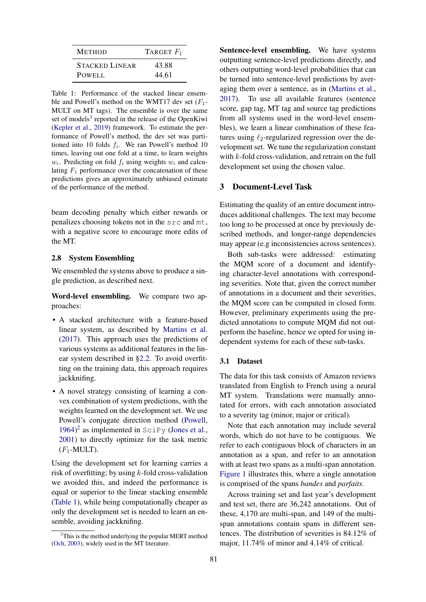<span id="page-3-1"></span>

| <b>METHOD</b>         | TARGET $F_1$ |
|-----------------------|--------------|
| <b>STACKED LINEAR</b> | 43.88        |
| POWELL                | 44.61        |

Table 1: Performance of the stacked linear ensemble and Powell's method on the WMT17 dev set  $(F_1$ -MULT on MT tags). The ensemble is over the same set of models<sup>[3](#page-0-1)</sup> reported in the release of the OpenKiwi [\(Kepler et al.,](#page-6-14) [2019\)](#page-6-14) framework. To estimate the performance of Powell's method, the dev set was partitioned into 10 folds  $f_i$ . We ran Powell's method 10 times, leaving out one fold at a time, to learn weights  $w_i$ . Predicting on fold  $f_i$  using weights  $w_i$  and calculating  $F_1$  performance over the concatenation of these predictions gives an approximately unbiased estimate of the performance of the method.

beam decoding penalty which either rewards or penalizes choosing tokens not in the src and mt, with a negative score to encourage more edits of the MT.

#### 2.8 System Ensembling

We ensembled the systems above to produce a single prediction, as described next.

Word-level ensembling. We compare two approaches:

- A stacked architecture with a feature-based linear system, as described by [Martins et al.](#page-6-3) [\(2017\)](#page-6-3). This approach uses the predictions of various systems as additional features in the linear system described in [§2.2.](#page-1-0) To avoid overfitting on the training data, this approach requires jackknifing.
- A novel strategy consisting of learning a convex combination of system predictions, with the weights learned on the development set. We use Powell's conjugate direction method [\(Powell,](#page-6-17) [1964\)](#page-6-17) [2](#page-3-0) as implemented in SciPy [\(Jones et al.,](#page-6-18) [2001\)](#page-6-18) to directly optimize for the task metric  $(F_1\text{-MULT}).$

Using the development set for learning carries a risk of overfitting; by using  $k$ -fold cross-validation we avoided this, and indeed the performance is equal or superior to the linear stacking ensemble [\(Table 1\)](#page-3-1), while being computationally cheaper as only the development set is needed to learn an ensemble, avoiding jackknifing.

Sentence-level ensembling. We have systems outputting sentence-level predictions directly, and others outputting word-level probabilities that can be turned into sentence-level predictions by averaging them over a sentence, as in [\(Martins et al.,](#page-6-3) [2017\)](#page-6-3). To use all available features (sentence score, gap tag, MT tag and source tag predictions from all systems used in the word-level ensembles), we learn a linear combination of these features using  $\ell_2$ -regularized regression over the development set. We tune the regularization constant with  $k$ -fold cross-validation, and retrain on the full development set using the chosen value.

### 3 Document-Level Task

Estimating the quality of an entire document introduces additional challenges. The text may become too long to be processed at once by previously described methods, and longer-range dependencies may appear (e.g inconsistencies across sentences).

Both sub-tasks were addressed: estimating the MQM score of a document and identifying character-level annotations with corresponding severities. Note that, given the correct number of annotations in a document and their severities, the MQM score can be computed in closed form. However, preliminary experiments using the predicted annotations to compute MQM did not outperform the baseline, hence we opted for using independent systems for each of these sub-tasks.

### 3.1 Dataset

The data for this task consists of Amazon reviews translated from English to French using a neural MT system. Translations were manually annotated for errors, with each annotation associated to a severity tag (minor, major or critical).

Note that each annotation may include several words, which do not have to be contiguous. We refer to each contiguous block of characters in an annotation as a span, and refer to an annotation with at least two spans as a multi-span annotation. [Figure 1](#page-4-0) illustrates this, where a single annotation is comprised of the spans *bandes* and *parfaits*.

Across training set and last year's development and test set, there are 36,242 annotations. Out of these, 4,170 are multi-span, and 149 of the multispan annotations contain spans in different sentences. The distribution of severities is 84.12% of major, 11.74% of minor and 4.14% of critical.

<span id="page-3-0"></span> $2$ This is the method underlying the popular MERT method [\(Och,](#page-6-19) [2003\)](#page-6-19), widely used in the MT literature.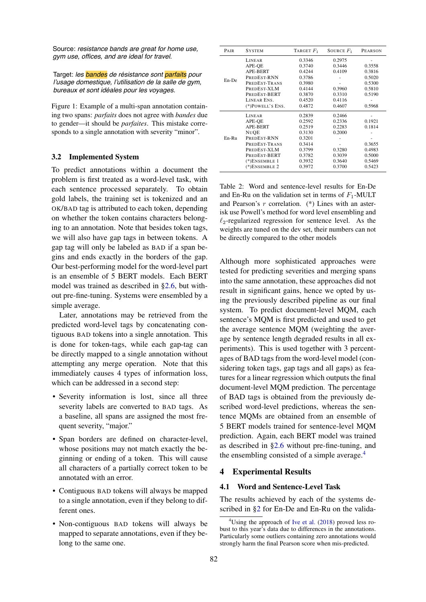*gym use, offices, and are ideal for travel.*

Target: *les bandes de résistance sont parfaits pour l'usage domestique, l'utilisation de la salle de gym, bureaux et sont idéales pour les voyages.*

Figure 1: Example of a multi-span annotation containing two spans: *parfaits* does not agree with *bandes* due to gender—it should be *parfaites*. This mistake corresponds to a single annotation with severity "minor".

### 3.2 Implemented System

<span id="page-4-0"></span>Source: *resistance bands are great for home use*,<br>
Source: *resistance bands are great for home use*,<br>
Target: *les* **bandes** de résistance sont **partalis** pour<br>
Target: *les* **bandes** de résistance sont **partalis** pour<br> To predict annotations within a document the problem is first treated as a word-level task, with each sentence processed separately. To obtain gold labels, the training set is tokenized and an OK/BAD tag is attributed to each token, depending on whether the token contains characters belonging to an annotation. Note that besides token tags, we will also have gap tags in between tokens. A gap tag will only be labeled as BAD if a span begins and ends exactly in the borders of the gap. Our best-performing model for the word-level part is an ensemble of 5 BERT models. Each BERT model was trained as described in [§2.6,](#page-2-0) but without pre-fine-tuning. Systems were ensembled by a simple average.

Later, annotations may be retrieved from the predicted word-level tags by concatenating contiguous BAD tokens into a single annotation. This is done for token-tags, while each gap-tag can be directly mapped to a single annotation without attempting any merge operation. Note that this immediately causes 4 types of information loss, which can be addressed in a second step:

- Severity information is lost, since all three severity labels are converted to BAD tags. As a baseline, all spans are assigned the most frequent severity, "major."
- Span borders are defined on character-level, whose positions may not match exactly the beginning or ending of a token. This will cause all characters of a partially correct token to be annotated with an error.
- Contiguous BAD tokens will always be mapped to a single annotation, even if they belong to different ones.
- Non-contiguous BAD tokens will always be mapped to separate annotations, even if they belong to the same one.

<span id="page-4-2"></span>

| PAIR    | <b>SYSTEM</b>    | TARGET $F_1$ | SOURCE $F_1$ | <b>PEARSON</b> |
|---------|------------------|--------------|--------------|----------------|
|         | LINEAR           | 0.3346       | 0.2975       |                |
|         | APE-OE           | 0.3740       | 0.3446       | 0.3558         |
|         | APE-BERT         | 0.4244       | 0.4109       | 0.3816         |
| En-De   | PREDEST-RNN      | 0.3786       |              | 0.5020         |
|         | PREDEST-TRANS    | 0.3980       |              | 0.5300         |
|         | PREDEST-XLM      | 0.4144       | 0.3960       | 0.5810         |
|         | PREDEST-BERT     | 0.3870       | 0.3310       | 0.5190         |
|         | LINEAR ENS.      | 0.4520       | 0.4116       |                |
|         | (*)POWELL'S ENS. | 0.4872       | 0.4607       | 0.5968         |
|         | LINEAR           | 0.2839       | 0.2466       |                |
| $En-Ru$ | APE-OE           | 0.2592       | 0.2336       | 0.1921         |
|         | APE-BERT         | 0.2519       | 0.2283       | 0.1814         |
|         | <b>NUOE</b>      | 0.3130       | 0.2000       |                |
|         | PREDEST-RNN      | 0.3201       |              |                |
|         | PREDEST-TRANS    | 0.3414       |              | 0.3655         |
|         | PREDEST-XLM      | 0.3799       | 0.3280       | 0.4983         |
|         | PREDEST-BERT     | 0.3782       | 0.3039       | 0.5000         |
|         | $(*)$ ENSEMBLE 1 | 0.3932       | 0.3640       | 0.5469         |
|         | $(*)$ ENSEMBLE 2 | 0.3972       | 0.3700       | 0.5423         |

Table 2: Word and sentence-level results for En-De and En-Ru on the validation set in terms of  $F_1$ -MULT and Pearson's  $r$  correlation.  $(*)$  Lines with an asterisk use Powell's method for word level ensembling and  $\ell_2$ -regularized regression for sentence level. As the weights are tuned on the dev set, their numbers can not be directly compared to the other models

Although more sophisticated approaches were tested for predicting severities and merging spans into the same annotation, these approaches did not result in significant gains, hence we opted by using the previously described pipeline as our final system. To predict document-level MQM, each sentence's MQM is first predicted and used to get the average sentence MQM (weighting the average by sentence length degraded results in all experiments). This is used together with 3 percentages of BAD tags from the word-level model (considering token tags, gap tags and all gaps) as features for a linear regression which outputs the final document-level MQM prediction. The percentage of BAD tags is obtained from the previously described word-level predictions, whereas the sentence MQMs are obtained from an ensemble of 5 BERT models trained for sentence-level MQM prediction. Again, each BERT model was trained as described in [§2.6](#page-2-0) without pre-fine-tuning, and the ensembling consisted of a simple average. $4$ 

### 4 Experimental Results

#### 4.1 Word and Sentence-Level Task

The results achieved by each of the systems described in [§2](#page-0-2) for En-De and En-Ru on the valida-

<span id="page-4-1"></span> $4$ Using the approach of [Ive et al.](#page-6-20) [\(2018\)](#page-6-20) proved less robust to this year's data due to differences in the annotations. Particularly some outliers containing zero annotations would strongly harm the final Pearson score when mis-predicted.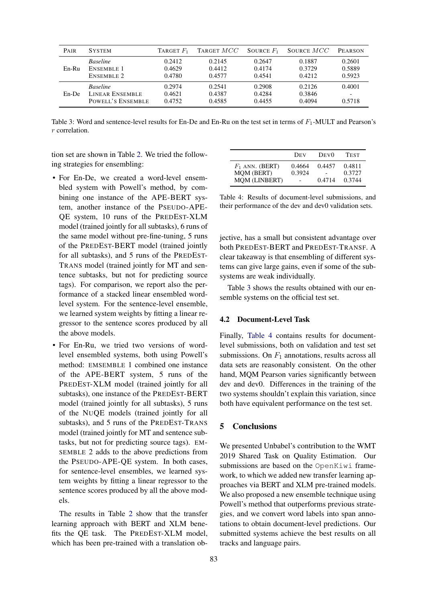<span id="page-5-0"></span>

| <b>PAIR</b> | <b>SYSTEM</b>          | TARGET $F_1$ | TARGET $MCC$ | SOURCE $F_1$ | SOURCE MCC | PEARSON                  |
|-------------|------------------------|--------------|--------------|--------------|------------|--------------------------|
| $En-Ru$     | <b>Baseline</b>        | 0.2412       | 0.2145       | 0.2647       | 0.1887     | 0.2601                   |
|             | ENSEMBLE 1             | 0.4629       | 0.4412       | 0.4174       | 0.3729     | 0.5889                   |
|             | <b>ENSEMBLE 2</b>      | 0.4780       | 0.4577       | 0.4541       | 0.4212     | 0.5923                   |
| En-De       | <b>Baseline</b>        | 0.2974       | 0.2541       | 0.2908       | 0.2126     | 0.4001                   |
|             | <b>LINEAR ENSEMBLE</b> | 0.4621       | 0.4387       | 0.4284       | 0.3846     | $\overline{\phantom{0}}$ |
|             | POWELL'S ENSEMBLE      | 0.4752       | 0.4585       | 0.4455       | 0.4094     | 0.5718                   |

Table 3: Word and sentence-level results for En-De and En-Ru on the test set in terms of  $F_1$ -MULT and Pearson's r correlation.

tion set are shown in Table [2.](#page-4-2) We tried the following strategies for ensembling:

- For En-De, we created a word-level ensembled system with Powell's method, by combining one instance of the APE-BERT system, another instance of the PSEUDO-APE-QE system, 10 runs of the PREDEST-XLM model (trained jointly for all subtasks), 6 runs of the same model without pre-fine-tuning, 5 runs of the PREDEST-BERT model (trained jointly for all subtasks), and 5 runs of the PREDEST-TRANS model (trained jointly for MT and sentence subtasks, but not for predicting source tags). For comparison, we report also the performance of a stacked linear ensembled wordlevel system. For the sentence-level ensemble, we learned system weights by fitting a linear regressor to the sentence scores produced by all the above models.
- For En-Ru, we tried two versions of wordlevel ensembled systems, both using Powell's method: EMSEMBLE 1 combined one instance of the APE-BERT system, 5 runs of the PREDEST-XLM model (trained jointly for all subtasks), one instance of the PREDEST-BERT model (trained jointly for all subtasks), 5 runs of the NUQE models (trained jointly for all subtasks), and 5 runs of the PREDEST-TRANS model (trained jointly for MT and sentence subtasks, but not for predicting source tags). EM-SEMBLE 2 adds to the above predictions from the PSEUDO-APE-QE system. In both cases, for sentence-level ensembles, we learned system weights by fitting a linear regressor to the sentence scores produced by all the above models.

The results in Table [2](#page-4-2) show that the transfer learning approach with BERT and XLM benefits the QE task. The PREDEST-XLM model, which has been pre-trained with a translation ob-

<span id="page-5-1"></span>

|                                                                | <b>DEV</b>       | DEV <sub>0</sub> | <b>TEST</b>                |
|----------------------------------------------------------------|------------------|------------------|----------------------------|
| $F_1$ ANN. (BERT)<br><b>MQM (BERT)</b><br><b>MQM (LINBERT)</b> | 0.4664<br>0.3924 | 0.4457<br>0.4714 | 0.4811<br>0.3727<br>0.3744 |

Table 4: Results of document-level submissions, and their performance of the dev and dev0 validation sets.

jective, has a small but consistent advantage over both PREDEST-BERT and PREDEST-TRANSF. A clear takeaway is that ensembling of different systems can give large gains, even if some of the subsystems are weak individually.

Table [3](#page-5-0) shows the results obtained with our ensemble systems on the official test set.

### 4.2 Document-Level Task

Finally, [Table 4](#page-5-1) contains results for documentlevel submissions, both on validation and test set submissions. On  $F_1$  annotations, results across all data sets are reasonably consistent. On the other hand, MQM Pearson varies significantly between dev and dev0. Differences in the training of the two systems shouldn't explain this variation, since both have equivalent performance on the test set.

### 5 Conclusions

We presented Unbabel's contribution to the WMT 2019 Shared Task on Quality Estimation. Our submissions are based on the OpenKiwi framework, to which we added new transfer learning approaches via BERT and XLM pre-trained models. We also proposed a new ensemble technique using Powell's method that outperforms previous strategies, and we convert word labels into span annotations to obtain document-level predictions. Our submitted systems achieve the best results on all tracks and language pairs.